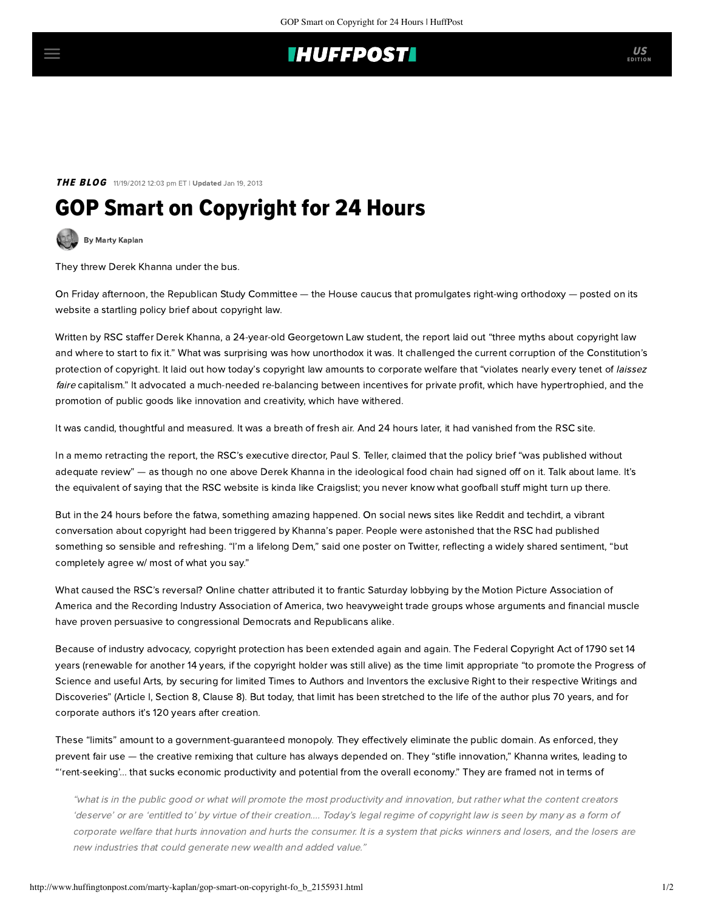## **IHUFFPOSTI**

**THE BLOG** 11/19/2012 12:03 pm ET | Updated Jan 19, 2013

## GOP Smart on Copyright for 24 Hours

[By Marty Kaplan](http://www.huffingtonpost.com/author/marty-kaplan)

They threw Derek Khanna under the bus.

On Friday afternoon, the Republican Study Committee — the House caucus that promulgates right-wing orthodoxy — posted on its website a startling [policy brief](http://www.scribd.com/doc/113633834/Republican-Study-Committee-Intellectual-Property-Brief) about copyright law.

Written by RSC staffer [Derek Khanna,](http://redalertpolitics.com/thirty-under-thirty/derek-khanna/) a 24-year-old Georgetown Law student, the report laid out "three myths about copyright law and where to start to fix it." What was surprising was how unorthodox it was. It challenged the current corruption of the Constitution's protection of copyright. It laid out how today's copyright law amounts to corporate welfare that "violates nearly every tenet of laissez faire capitalism." It advocated a much-needed re-balancing between incentives for private profit, which have hypertrophied, and the promotion of public goods like innovation and creativity, which have withered.

It was candid, thoughtful and measured. It was a breath of fresh air. And 24 hours later, it had vanished from the RSC site.

In a memo retracting the report, the RSC's executive director, Paul S. Teller, claimed that the policy brief "was published without adequate review" — as though no one above Derek Khanna in the ideological food chain had signed off on it. Talk about lame. It's the equivalent of saying that the RSC website is kinda like Craigslist; you never know what goofball stuff might turn up there.

But in the 24 hours before the fatwa, something amazing happened. On social news sites like [Reddit](http://www.reddit.com/r/politics/comments/13cq6s/republican_committee_nails_3_myths_about/) and [techdirt](http://www.techdirt.com/articles/20121117/16492521084/hollywood-lobbyists-have-busy-saturday-convince-gop-to-retract-copyright-reform-brief.shtml), a vibrant conversation about copyright had been triggered by Khanna's paper. People were astonished that the RSC had published something so sensible and refreshing. "I'm a lifelong Dem," said one poster on Twitter, reflecting a widely shared sentiment, "but completely agree w/ most of what you say."

What caused the RSC's reversal? Online chatter attributed it to frantic Saturday lobbying by the Motion Picture Association of America and the Recording Industry Association of America, two heavyweight trade groups whose arguments and financial muscle have proven persuasive to congressional Democrats and Republicans alike.

Because of industry advocacy, copyright protection has been extended again and again. The Federal Copyright Act of 1790 set 14 years (renewable for another 14 years, if the copyright holder was still alive) as the time limit appropriate "to promote the Progress of Science and useful Arts, by securing for limited Times to Authors and Inventors the exclusive Right to their respective Writings and Discoveries" (Article I, Section 8, Clause 8). But today, that limit has been stretched to the life of the author plus 70 years, and for corporate authors it's 120 years after creation.

These "limits" amount to a government-guaranteed monopoly. They effectively eliminate the public domain. As enforced, they prevent fair use — the creative remixing that culture has always depended on. They "stifle innovation," Khanna writes, leading to "'rent-seeking'... that sucks economic productivity and potential from the overall economy." They are framed not in terms of

"what is in the public good or what will promote the most productivity and innovation, but rather what the content creators 'deserve' or are 'entitled to' by virtue of their creation.... Today's legal regime of copyright law is seen by many as a form of corporate welfare that hurts innovation and hurts the consumer. It is a system that picks winners and losers, and the losers are new industries that could generate new wealth and added value."